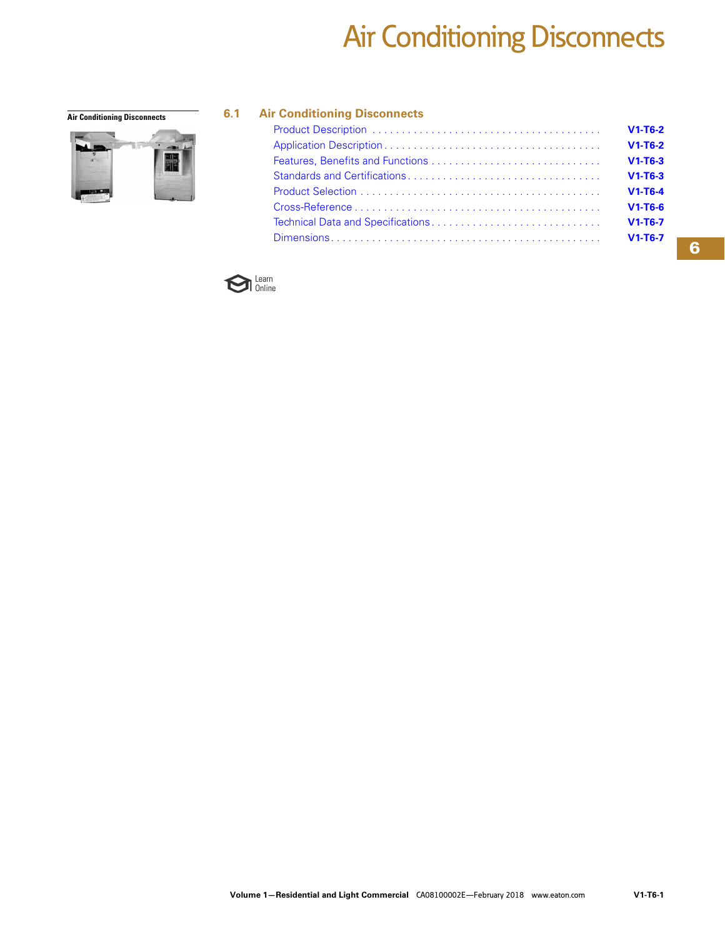# Air Conditioning Disconnects



#### **Air Conditioning Disconnects 6.1 Air Conditioning Disconnects**

| $V1-T6-2$ |
|-----------|
| $V1-T6-2$ |
| $V1-T6-3$ |
| $V1-T6-3$ |
| $V1-T6-4$ |
| $V1-T6-6$ |
| $V1-T6-7$ |
| $V1-T6-7$ |

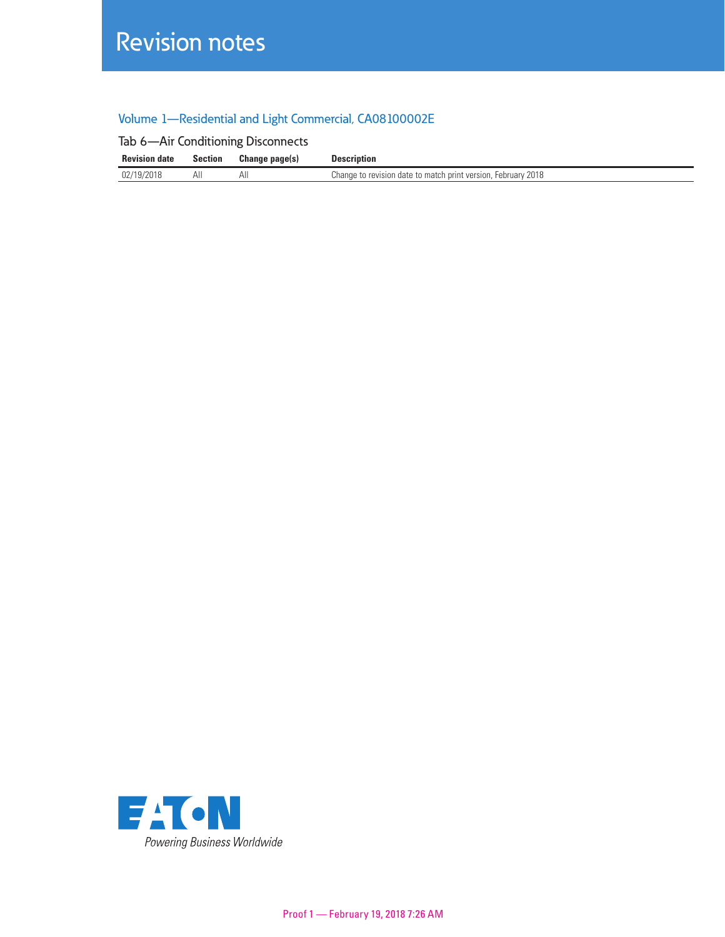# Revision notes

### Volume 1—Residential and Light Commercial, CA08100002E

|  |  |  |  | Tab 6-Air Conditioning Disconnects |
|--|--|--|--|------------------------------------|
|--|--|--|--|------------------------------------|

| <b>Revision date</b> | Section | Change page(s) | Description                                                                           |
|----------------------|---------|----------------|---------------------------------------------------------------------------------------|
| 02/19/2018           | All     | All            | 2018<br>e to revision date to match print version.<br>February<br>change <sup>-</sup> |

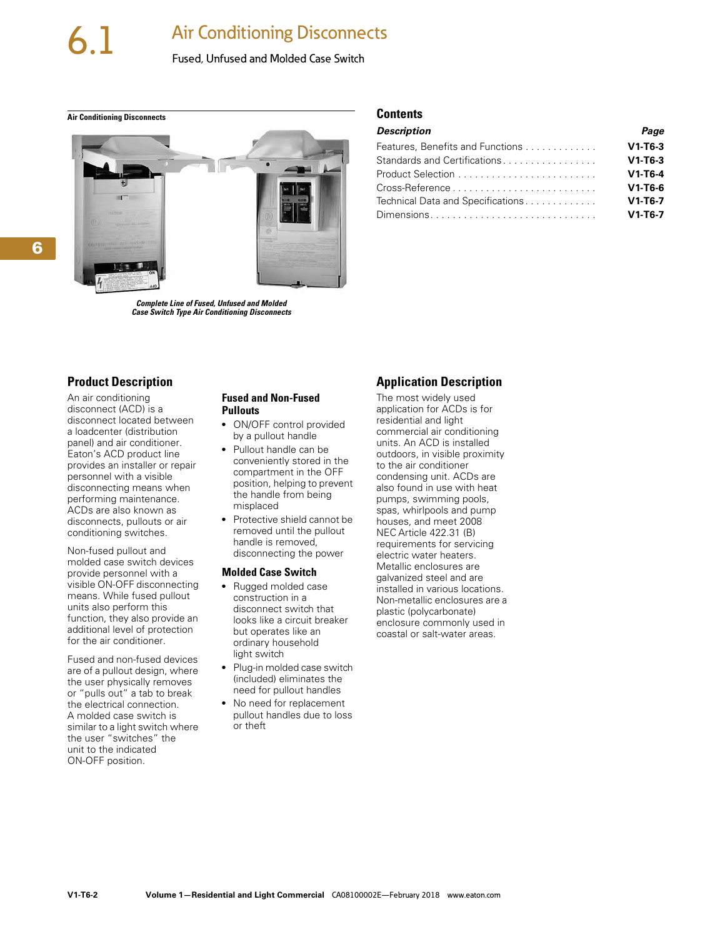### **Air Conditioning Disconnects**

#### Fused, Unfused and Molded Case Switch

<span id="page-2-0"></span>**Air Conditioning Disconnects Contents**



*Complete Line of Fused, Unfused and Molded Case Switch Type Air Conditioning Disconnects*

#### **Product Description**

An air conditioning disconnect (ACD) is a disconnect located between a loadcenter (distribution panel) and air conditioner. Eaton's ACD product line provides an installer or repair personnel with a visible disconnecting means when performing maintenance. ACDs are also known as disconnects, pullouts or air conditioning switches.

Non-fused pullout and molded case switch devices provide personnel with a visible ON-OFF disconnecting means. While fused pullout units also perform this function, they also provide an additional level of protection for the air conditioner.

Fused and non-fused devices are of a pullout design, where the user physically removes or "pulls out" a tab to break the electrical connection. A molded case switch is similar to a light switch where the user "switches" the unit to the indicated ON-OFF position.

#### **Fused and Non-Fused Pullouts**

- ON/OFF control provided by a pullout handle
- Pullout handle can be conveniently stored in the compartment in the OFF position, helping to prevent the handle from being misplaced
- Protective shield cannot be removed until the pullout handle is removed, disconnecting the power

#### **Molded Case Switch**

- Rugged molded case construction in a disconnect switch that looks like a circuit breaker but operates like an ordinary household light switch
- Plug-in molded case switch (included) eliminates the need for pullout handles
- No need for replacement pullout handles due to loss or theft

### **Application Description**

*Description Page* Features, Benefits and Functions . . . . . . . . . . . . . **V1-T6-3** Standards and Certifications . . . . . . . . . . . . . . . . . **V1-T6-3** Product Selection . . . . . . . . . . . . . . . . . . . . . . . . . **V1-T6-4** Cross-Reference . . . . . . . . . . . . . . . . . . . . . . . . . . **V1-T6-6** Technical Data and Specifications. . . . . . . . . . . . . **V1-T6-7** Dimensions. . . . . . . . . . . . . . . . . . . . . . . . . . . . . . **V1-T6-7**

The most widely used application for ACDs is for residential and light commercial air conditioning units. An ACD is installed outdoors, in visible proximity to the air conditioner condensing unit. ACDs are also found in use with heat pumps, swimming pools, spas, whirlpools and pump houses, and meet 2008 NEC Article 422.31 (B) requirements for servicing electric water heaters. Metallic enclosures are galvanized steel and are installed in various locations. Non-metallic enclosures are a plastic (polycarbonate) enclosure commonly used in coastal or salt-water areas.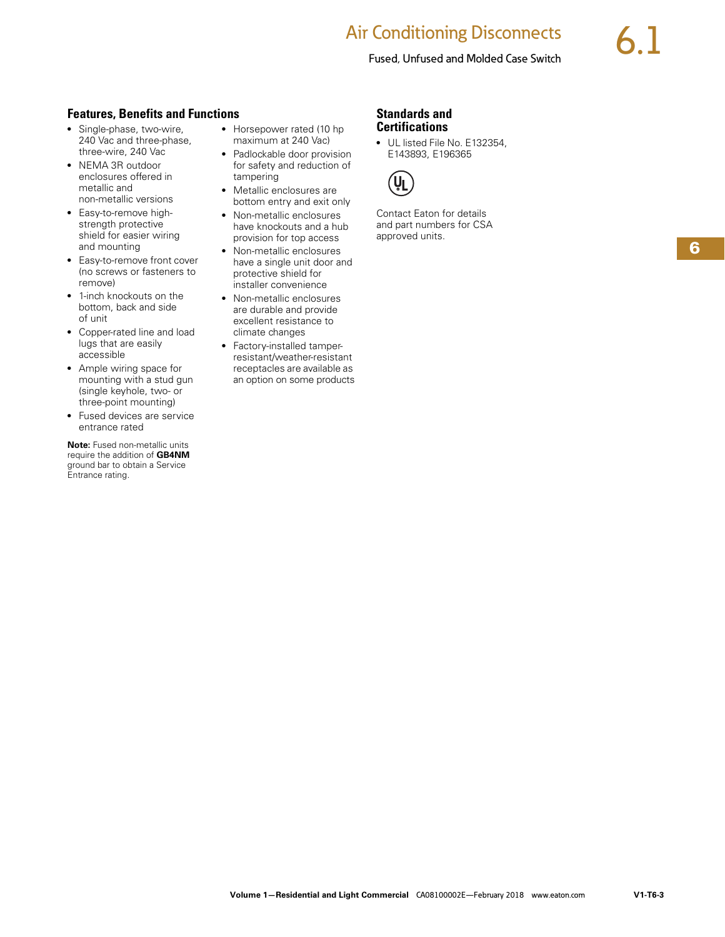### **Air Conditioning Disconnects**

#### Fused, Unfused and Molded Case Switch

#### <span id="page-3-0"></span>**Features, Benefits and Functions**

- Single-phase, two-wire, 240 Vac and three-phase, three-wire, 240 Vac
- NEMA 3R outdoor enclosures offered in metallic and non-metallic versions
- Easy-to-remove highstrength protective shield for easier wiring and mounting
- Easy-to-remove front cover (no screws or fasteners to remove)
- 1-inch knockouts on the bottom, back and side of unit
- Copper-rated line and load lugs that are easily accessible
- Ample wiring space for mounting with a stud gun (single keyhole, two- or three-point mounting)
- Fused devices are service entrance rated

**Note:** Fused non-metallic units require the addition of **GB4NM** ground bar to obtain a Service Entrance rating.

- Horsepower rated (10 hp maximum at 240 Vac)
- Padlockable door provision for safety and reduction of tampering
- Metallic enclosures are bottom entry and exit only
- Non-metallic enclosures have knockouts and a hub provision for top access
- Non-metallic enclosures have a single unit door and protective shield for installer convenience
- Non-metallic enclosures are durable and provide excellent resistance to climate changes
- Factory-installed tamperresistant/weather-resistant receptacles are available as an option on some products

#### **Standards and Certifications**

● UL listed File No. E132354, E143893, E196365



Contact Eaton for details and part numbers for CSA approved units.

**6**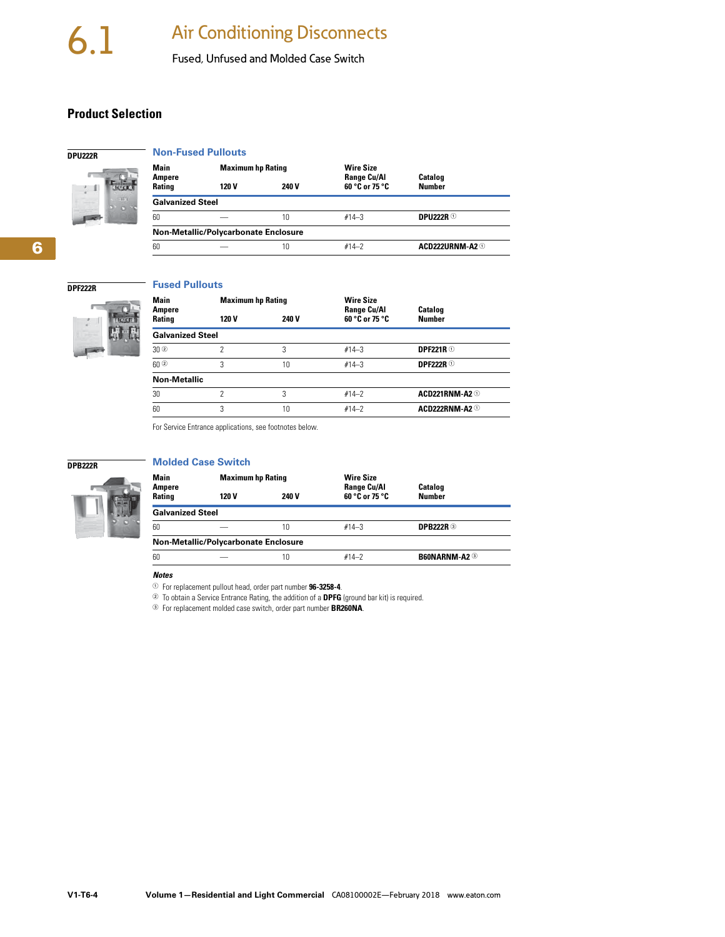Fused, Unfused and Molded Case Switch

#### <span id="page-4-0"></span>**Product Selection**

#### **Non-Fused Pullouts**

**Fused Pullouts**



**DPU222R**

| Main<br>Ampere                       | <b>Maximum hp Rating</b> |       | <b>Wire Size</b><br><b>Range Cu/Al</b> | Catalog         |  |
|--------------------------------------|--------------------------|-------|----------------------------------------|-----------------|--|
| <b>Rating</b>                        | 120 V                    | 240 V | 60 °C or 75 °C                         | <b>Number</b>   |  |
| <b>Galvanized Steel</b>              |                          |       |                                        |                 |  |
| 60                                   |                          | 10    | $#14 - 3$                              | DPIJ222R $0$    |  |
| Non-Metallic/Polycarbonate Enclosure |                          |       |                                        |                 |  |
| 60                                   |                          | 10    | $#14-2$                                | ACD222URNM-A2 ① |  |

## **6**

#### **DPF222R**



| <b>Main</b>             | <b>Maximum hp Rating</b> |       | <b>Wire Size</b>                     |                                 |  |
|-------------------------|--------------------------|-------|--------------------------------------|---------------------------------|--|
| Ampere<br>Rating        | 120 V                    | 240 V | <b>Range Cu/Al</b><br>60 °C or 75 °C | <b>Catalog</b><br><b>Number</b> |  |
| <b>Galvanized Steel</b> |                          |       |                                      |                                 |  |
| $30^\circ$              | 2                        | 3     | $#14 - 3$                            | <b>DPF221R</b> <sup>①</sup>     |  |
| $60$ <sup>2</sup>       | 3                        | 10    | $#14 - 3$                            | <b>DPF222R</b> ①                |  |
| <b>Non-Metallic</b>     |                          |       |                                      |                                 |  |
| 30                      | 2                        | 3     | $#14-2$                              | ACD221RNM-A2 <sup>①</sup>       |  |
| 60                      | 3                        | 10    | $#14-2$                              | ACD222RNM-A2 <sup>①</sup>       |  |
|                         |                          |       |                                      |                                 |  |

For Service Entrance applications, see footnotes below.

#### **DPB222R**



|                         | <b>Molded Case Switch</b>            |       |                                        |                      |
|-------------------------|--------------------------------------|-------|----------------------------------------|----------------------|
| Main<br><b>Ampere</b>   | <b>Maximum hp Rating</b>             |       | <b>Wire Size</b><br><b>Range Cu/Al</b> | <b>Catalog</b>       |
| <b>Rating</b>           | 120 V                                | 240 V | 60 °C or 75 °C                         | <b>Number</b>        |
| <b>Galvanized Steel</b> |                                      |       |                                        |                      |
| 60                      |                                      | 10    | $#14 - 3$                              | <b>DPB222R 3</b>     |
|                         | Non-Metallic/Polycarbonate Enclosure |       |                                        |                      |
| 60                      |                                      | 10    | $#14-2$                                | <b>B60NARNM-A2 3</b> |

*Notes*

<sup>1</sup>For replacement pullout head, order part number **96-3258-4**.

<sup>2</sup>To obtain a Service Entrance Rating, the addition of a **DPFG** (ground bar kit) is required.

<sup>3</sup>For replacement molded case switch, order part number **BR260NA**.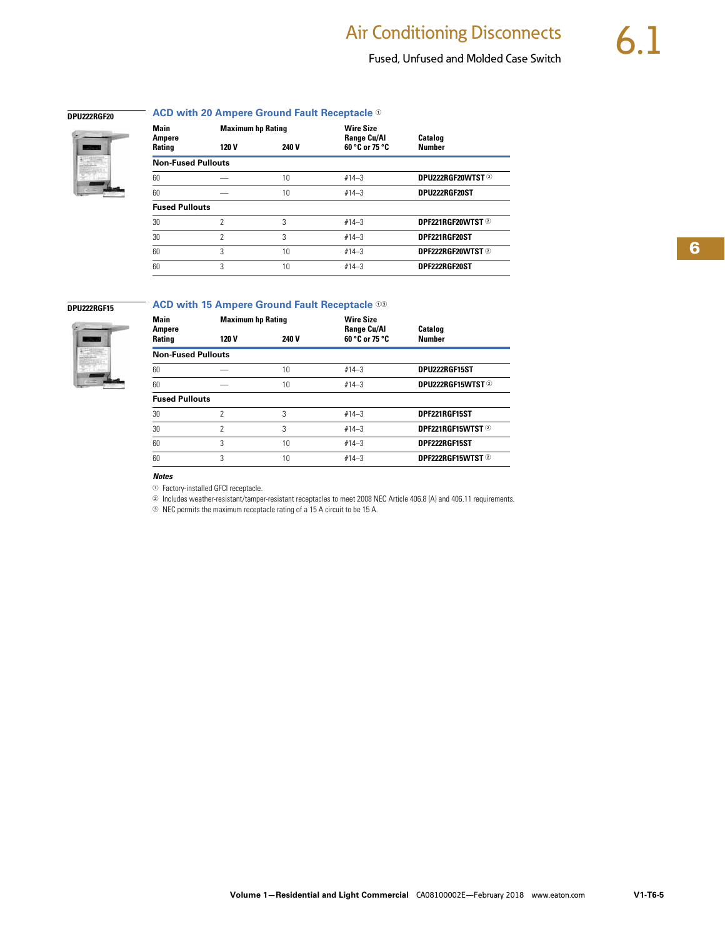### Fused, Unfused and Molded Case Switch

**6**

#### **DPU222RGF20**

#### **ACD with 20 Ampere Ground Fault Receptacle**  $\odot$



| Main<br>Ampere            | <b>Maximum hp Rating</b> |              | <b>Wire Size</b><br><b>Range Cu/Al</b> | <b>Catalog</b>    |  |
|---------------------------|--------------------------|--------------|----------------------------------------|-------------------|--|
| <b>Rating</b>             | 120 V                    | <b>240 V</b> | 60 °C or 75 °C                         | <b>Number</b>     |  |
| <b>Non-Fused Pullouts</b> |                          |              |                                        |                   |  |
| 60                        |                          | 10           | $#14 - 3$                              | DPU222RGF20WTST 2 |  |
| 60                        |                          | 10           | $#14 - 3$                              | DPU222RGF20ST     |  |
| <b>Fused Pullouts</b>     |                          |              |                                        |                   |  |
| 30                        | 2                        | 3            | $#14-3$                                | DPF221RGF20WTST 2 |  |
| 30                        | 2                        | 3            | $#14 - 3$                              | DPF221RGF20ST     |  |
| 60                        | 3                        | 10           | $#14 - 3$                              | DPF222RGF20WTST 2 |  |
| 60                        | 3                        | 10           | $#14-3$                                | DPF222RGF20ST     |  |

#### **DPU222RGF15**



### **ACD with 15 Ampere Ground Fault Receptacle**  $\circledcirc$

| Main<br>Ampere            | <b>Maximum hp Rating</b> |       | <b>Wire Size</b><br><b>Range Cu/Al</b> | <b>Catalog</b>         |  |
|---------------------------|--------------------------|-------|----------------------------------------|------------------------|--|
| Rating                    | 120 V                    | 240 V | 60 °C or 75 °C                         | <b>Number</b>          |  |
| <b>Non-Fused Pullouts</b> |                          |       |                                        |                        |  |
| 60                        |                          | 10    | $#14 - 3$                              | DPU222RGF15ST          |  |
| 60                        |                          | 10    | $#14 - 3$                              | <b>DPU222RGF15WTST</b> |  |
| <b>Fused Pullouts</b>     |                          |       |                                        |                        |  |
| 30                        | 2                        | 3     | $#14 - 3$                              | DPF221RGF15ST          |  |
| 30                        | 2                        | 3     | $#14 - 3$                              | DPF221RGF15WTST 2      |  |
| 60                        | 3                        | 10    | $#14 - 3$                              | DPF222RGF15ST          |  |
| 60                        | 3                        | 10    | $#14 - 3$                              | DPF222RGF15WTST 2      |  |
|                           |                          |       |                                        |                        |  |

#### *Notes*

 $\odot$  Factory-installed GFCI receptacle.

<sup>2</sup> Includes weather-resistant/tamper-resistant receptacles to meet 2008 NEC Article 406.8 (A) and 406.11 requirements.

<sup>3</sup>NEC permits the maximum receptacle rating of a 15 A circuit to be 15 A.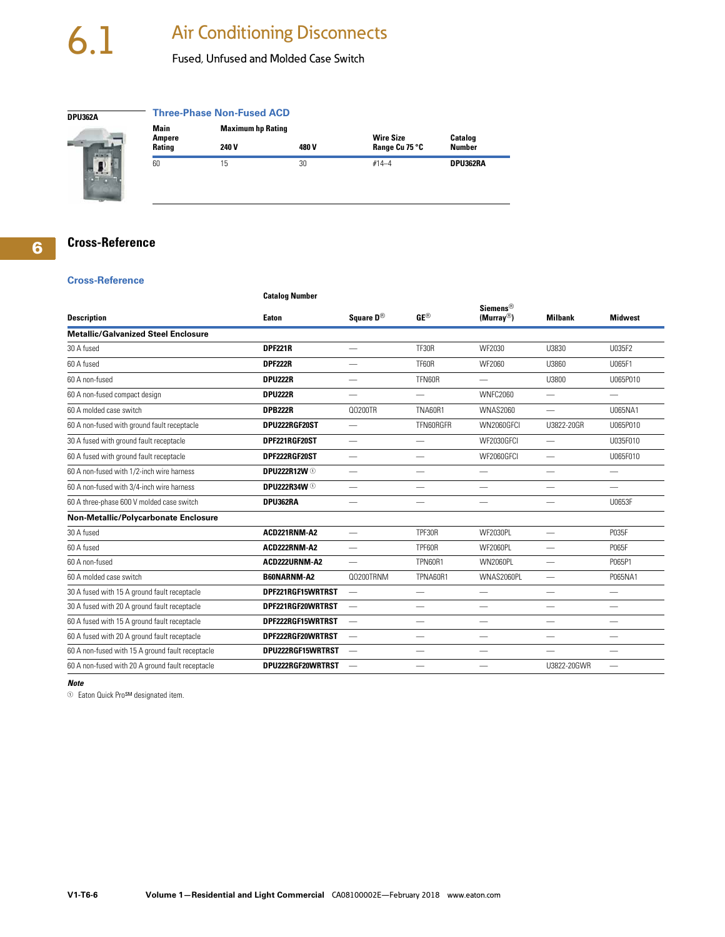# <span id="page-6-0"></span>6.1 Air Conditioning Disconnects

#### Fused, Unfused and Molded Case Switch

**Three-Phase Non-Fused ACD**



| Main                    |       | <b>Maximum hp Rating</b> |                                    |                                 |  |  |
|-------------------------|-------|--------------------------|------------------------------------|---------------------------------|--|--|
| Ampere<br><b>Rating</b> | 240 V | 480 V                    | <b>Wire Size</b><br>Range Cu 75 °C | <b>Catalog</b><br><b>Number</b> |  |  |
| 60                      | 15    | 30                       | $#14 - 4$                          | DPU362RA                        |  |  |

#### **Cross-Reference**

**6**

#### **Cross-Reference**

#### **Catalog Number**

| <b>Description</b>                               | Eaton                          | Square D <sup>®</sup>    | $GE^{\circledR}$         | <b>Siemens®</b><br>$(Murray^@)$ | <b>Milbank</b>           | <b>Midwest</b>           |
|--------------------------------------------------|--------------------------------|--------------------------|--------------------------|---------------------------------|--------------------------|--------------------------|
| <b>Metallic/Galvanized Steel Enclosure</b>       |                                |                          |                          |                                 |                          |                          |
| 30 A fused                                       | <b>DPF221R</b>                 |                          | <b>TF30R</b>             | WF2030                          | U3830                    | U035F2                   |
| 60 A fused                                       | <b>DPF222R</b>                 |                          | TF60R                    | WF2060                          | U3860                    | U065F1                   |
| 60 A non-fused                                   | <b>DPU222R</b>                 |                          | TFN60R                   |                                 | U3800                    | U065P010                 |
| 60 A non-fused compact design                    | <b>DPU222R</b>                 |                          |                          | <b>WNFC2060</b>                 | $\overline{\phantom{0}}$ | $\overline{\phantom{0}}$ |
| 60 A molded case switch                          | <b>DPB222R</b>                 | Q0200TR                  | <b>TNA60R1</b>           | <b>WNAS2060</b>                 | $\overline{\phantom{0}}$ | U065NA1                  |
| 60 A non-fused with ground fault receptacle      | DPU222RGF20ST                  |                          | TFN60RGFR                | WN2060GFCI                      | U3822-20GR               | U065P010                 |
| 30 A fused with ground fault receptacle          | DPF221RGF20ST                  |                          |                          | WF2030GFCI                      |                          | U035F010                 |
| 60 A fused with ground fault receptacle          | DPF222RGF20ST                  |                          |                          | WF2060GFCI                      | $\overline{\phantom{0}}$ | U065F010                 |
| 60 A non-fused with 1/2-inch wire harness        | <b>DPU222R12W <sup>1</sup></b> | $\overline{\phantom{0}}$ |                          |                                 | —                        | $\overline{\phantom{0}}$ |
| 60 A non-fused with 3/4-inch wire harness        | <b>DPU222R34W <sup>1</sup></b> | $\overline{\phantom{0}}$ | —                        | —                               | —                        | —                        |
| 60 A three-phase 600 V molded case switch        | DPU362RA                       | $\overline{\phantom{m}}$ | $\overline{\phantom{0}}$ | $\overline{\phantom{0}}$        | $\overline{\phantom{0}}$ | U0653F                   |
| Non-Metallic/Polycarbonate Enclosure             |                                |                          |                          |                                 |                          |                          |
| 30 A fused                                       | ACD221RNM-A2                   | $\overline{\phantom{m}}$ | TPF30R                   | WF2030PL                        | $\overline{\phantom{0}}$ | P035F                    |
| 60 A fused                                       | ACD222RNM-A2                   | $\overline{\phantom{0}}$ | TPF60R                   | <b>WF2060PL</b>                 | $\overline{\phantom{0}}$ | P065F                    |
| 60 A non-fused                                   | ACD222URNM-A2                  |                          | TPN60R1                  | <b>WN2060PL</b>                 | $\overline{\phantom{0}}$ | P065P1                   |
| 60 A molded case switch                          | <b>B60NARNM-A2</b>             | Q0200TRNM                | TPNA60R1                 | WNAS2060PL                      | $\overline{\phantom{0}}$ | P065NA1                  |
| 30 A fused with 15 A ground fault receptacle     | DPF221RGF15WRTRST              |                          | $\overline{\phantom{0}}$ | $\overline{\phantom{0}}$        | $\overline{\phantom{0}}$ | $\overline{\phantom{0}}$ |
| 30 A fused with 20 A ground fault receptacle     | DPF221RGF20WRTRST              |                          | —                        | $\overbrace{\phantom{aaaaa}}$   | —                        |                          |
| 60 A fused with 15 A ground fault receptacle     | DPF222RGF15WRTRST              |                          | $\overline{\phantom{0}}$ | $\overline{\phantom{0}}$        | $\overline{\phantom{0}}$ | $\overline{\phantom{0}}$ |
| 60 A fused with 20 A ground fault receptacle     | DPF222RGF20WRTRST              |                          |                          | —                               | —                        |                          |
| 60 A non-fused with 15 A ground fault receptacle | DPU222RGF15WRTRST              | $\overline{\phantom{m}}$ | $\overline{\phantom{0}}$ | $\overline{\phantom{0}}$        |                          | —                        |
| 60 A non-fused with 20 A ground fault receptacle | DPU222RGF20WRTRST              |                          | —                        |                                 | U3822-20GWR              |                          |

#### *Note*

<sup>1</sup> Eaton Quick Pro<sup>SM</sup> designated item.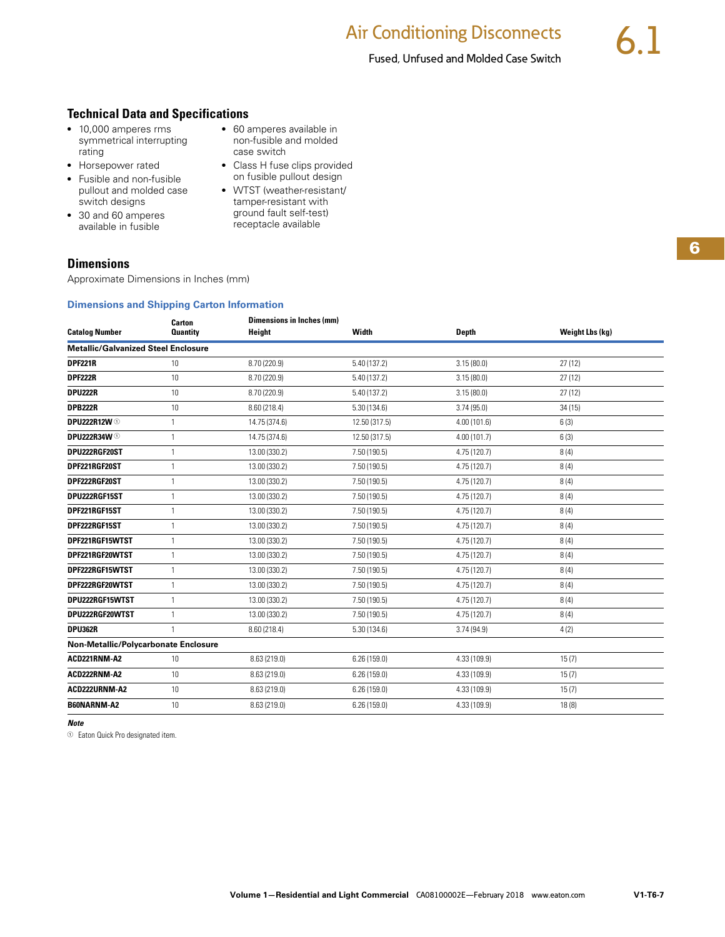#### <span id="page-7-0"></span>**Technical Data and Specifications**

- 10,000 amperes rms symmetrical interrupting rating
- Horsepower rated
- Fusible and non-fusible pullout and molded case switch designs
- 30 and 60 amperes available in fusible

#### ● 60 amperes available in non-fusible and molded case switch

- Class H fuse clips provided on fusible pullout design
- WTST (weather-resistant/ tamper-resistant with ground fault self-test) receptacle available

#### **Dimensions**

Approximate Dimensions in Inches (mm)

#### **Dimensions and Shipping Carton Information**

|                                            | Carton          | <b>Dimensions in Inches (mm)</b> |               |              |                 |
|--------------------------------------------|-----------------|----------------------------------|---------------|--------------|-----------------|
| <b>Catalog Number</b>                      | <b>Quantity</b> | Height                           | Width         | <b>Depth</b> | Weight Lbs (kg) |
| <b>Metallic/Galvanized Steel Enclosure</b> |                 |                                  |               |              |                 |
| <b>DPF221R</b>                             | 10              | 8.70 (220.9)                     | 5.40 (137.2)  | 3.15(80.0)   | 27(12)          |
| <b>DPF222R</b>                             | 10              | 8.70 (220.9)                     | 5.40 (137.2)  | 3.15(80.0)   | 27(12)          |
| DPU222R                                    | 10              | 8.70 (220.9)                     | 5.40 (137.2)  | 3.15(80.0)   | 27(12)          |
| <b>DPB222R</b>                             | 10              | 8.60 (218.4)                     | 5.30(134.6)   | 3.74(95.0)   | 34(15)          |
| <b>DPU222R12W ①</b>                        | 1               | 14.75 (374.6)                    | 12.50 (317.5) | 4.00(101.6)  | 6(3)            |
| <b>DPU222R34W ①</b>                        | 1               | 14.75 (374.6)                    | 12.50 (317.5) | 4.00(101.7)  | 6(3)            |
| DPU222RGF20ST                              | $\mathbf{1}$    | 13.00 (330.2)                    | 7.50 (190.5)  | 4.75 (120.7) | 8(4)            |
| DPF221RGF20ST                              | $\mathbf{1}$    | 13.00 (330.2)                    | 7.50 (190.5)  | 4.75 (120.7) | 8(4)            |
| DPF222RGF20ST                              | 1               | 13.00 (330.2)                    | 7.50 (190.5)  | 4.75 (120.7) | 8(4)            |
| DPU222RGF15ST                              | $\mathbf{1}$    | 13.00 (330.2)                    | 7.50(190.5)   | 4.75 (120.7) | 8(4)            |
| DPF221RGF15ST                              | 1               | 13.00 (330.2)                    | 7.50(190.5)   | 4.75 (120.7) | 8(4)            |
| DPF222RGF15ST                              | 1               | 13.00 (330.2)                    | 7.50(190.5)   | 4.75 (120.7) | 8(4)            |
| DPF221RGF15WTST                            | 1               | 13.00 (330.2)                    | 7.50(190.5)   | 4.75 (120.7) | 8(4)            |
| DPF221RGF20WTST                            | 1               | 13.00 (330.2)                    | 7.50(190.5)   | 4.75 (120.7) | 8(4)            |
| DPF222RGF15WTST                            | 1               | 13.00 (330.2)                    | 7.50(190.5)   | 4.75 (120.7) | 8(4)            |
| DPF222RGF20WTST                            | 1               | 13.00 (330.2)                    | 7.50(190.5)   | 4.75 (120.7) | 8(4)            |
| DPU222RGF15WTST                            | $\mathbf{1}$    | 13.00 (330.2)                    | 7.50 (190.5)  | 4.75(120.7)  | 8(4)            |
| DPU222RGF20WTST                            | 1               | 13.00 (330.2)                    | 7.50(190.5)   | 4.75(120.7)  | 8(4)            |
| <b>DPU362R</b>                             | 1               | 8.60(218.4)                      | 5.30(134.6)   | 3.74(94.9)   | 4(2)            |
| Non-Metallic/Polycarbonate Enclosure       |                 |                                  |               |              |                 |
| ACD221RNM-A2                               | 10              | 8.63 (219.0)                     | 6.26(159.0)   | 4.33 (109.9) | 15(7)           |
| ACD222RNM-A2                               | 10              | 8.63 (219.0)                     | 6.26(159.0)   | 4.33 (109.9) | 15(7)           |
| ACD222URNM-A2                              | 10              | 8.63 (219.0)                     | 6.26(159.0)   | 4.33 (109.9) | 15(7)           |
| B60NARNM-A2                                | 10              | 8.63 (219.0)                     | 6.26(159.0)   | 4.33 (109.9) | 18(8)           |

#### *Note*

<sup>1</sup> Eaton Quick Pro designated item.

**6**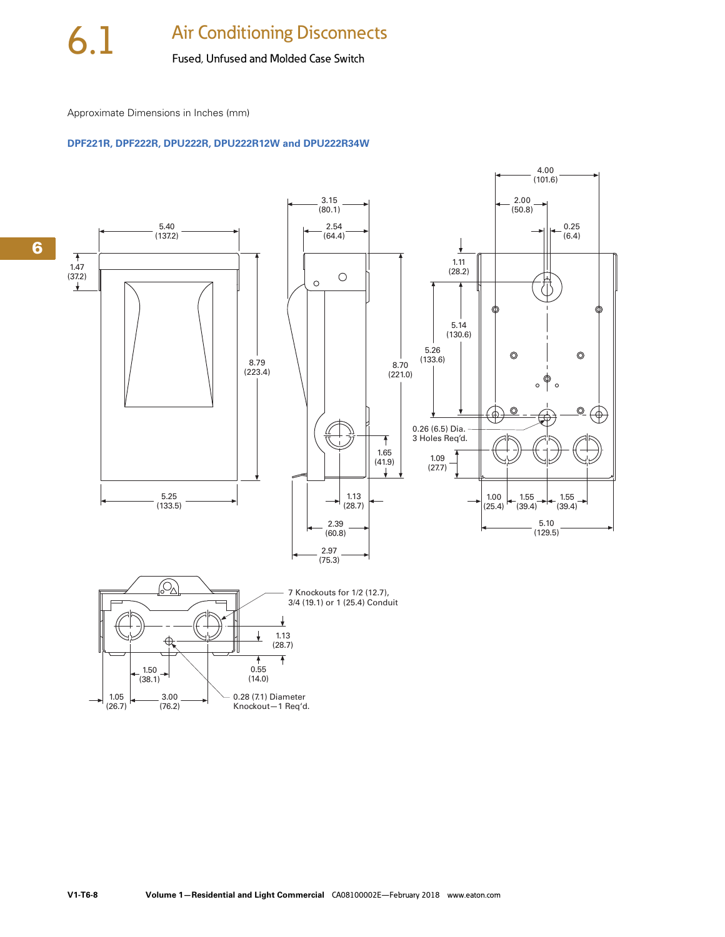Approximate Dimensions in Inches (mm)

#### **DPF221R, DPF222R, DPU222R, DPU222R12W and DPU222R34W**

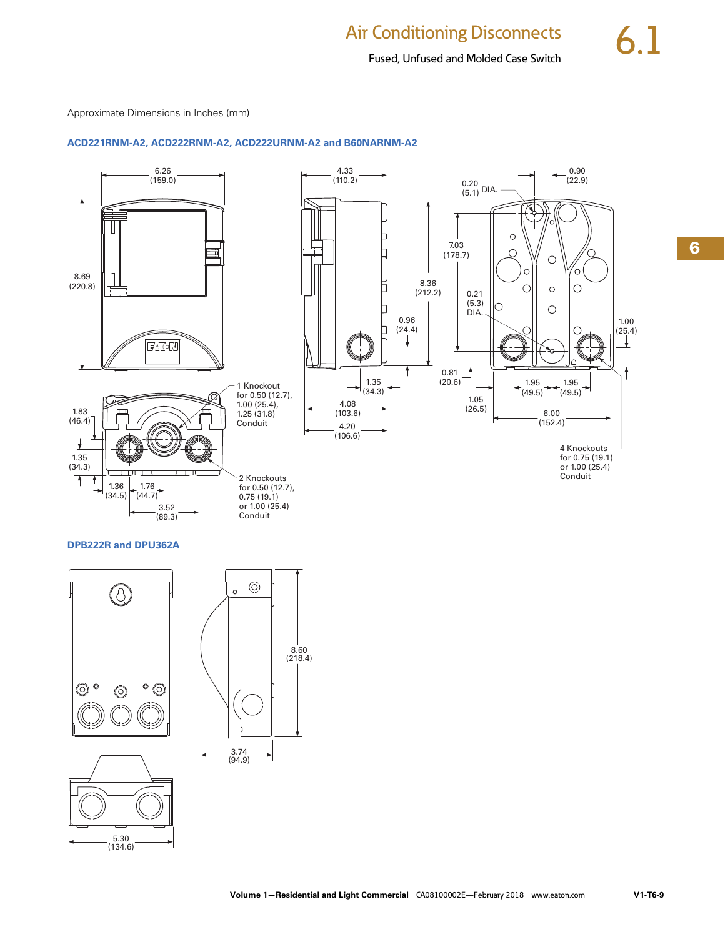#### Fused, Unfused and Molded Case Switch

Approximate Dimensions in Inches (mm)

5.30 (134.6)

#### **ACD221RNM-A2, ACD222RNM-A2, ACD222URNM-A2 and B60NARNM-A2**